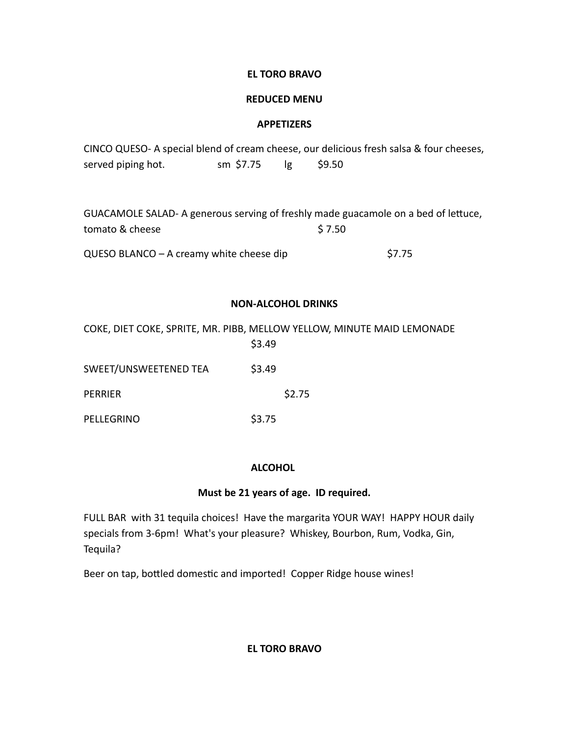# **EL TORO BRAVO**

## **REDUCED MENU**

## **APPETIZERS**

|                    |           |       | CINCO QUESO- A special blend of cream cheese, our delicious fresh salsa & four cheeses, |
|--------------------|-----------|-------|-----------------------------------------------------------------------------------------|
| served piping hot. | sm \$7.75 | S9.50 |                                                                                         |

| GUACAMOLE SALAD- A generous serving of freshly made guacamole on a bed of lettuce, |        |
|------------------------------------------------------------------------------------|--------|
| tomato & cheese                                                                    | S 7.50 |
| $QUESO$ BLANCO – A creamy white cheese dip                                         | \$7.75 |

# **NON-ALCOHOL DRINKS**

|                       | COKE, DIET COKE, SPRITE, MR. PIBB, MELLOW YELLOW, MINUTE MAID LEMONADE<br>\$3.49 |
|-----------------------|----------------------------------------------------------------------------------|
| SWEET/UNSWEETENED TEA | \$3.49                                                                           |
| PERRIER               | \$2.75                                                                           |
| PELLEGRINO            | \$3.75                                                                           |

## **ALCOHOL**

# **Must be 21 years of age. ID required.**

FULL BAR with 31 tequila choices! Have the margarita YOUR WAY! HAPPY HOUR daily specials from 3-6pm! What's your pleasure? Whiskey, Bourbon, Rum, Vodka, Gin, Tequila?

Beer on tap, bottled domestic and imported! Copper Ridge house wines!

**EL TORO BRAVO**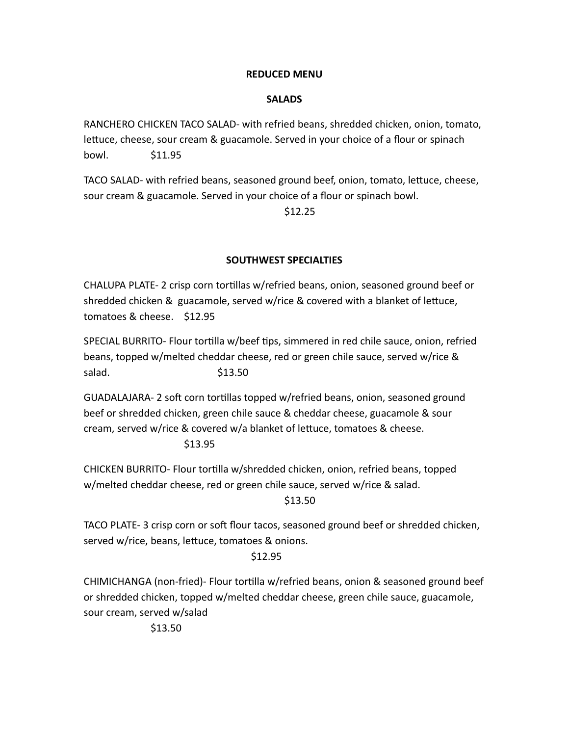#### **REDUCED MENU**

## **SALADS**

RANCHERO CHICKEN TACO SALAD- with refried beans, shredded chicken, onion, tomato, lettuce, cheese, sour cream & guacamole. Served in your choice of a flour or spinach bowl. \$11.95

TACO SALAD- with refried beans, seasoned ground beef, onion, tomato, lettuce, cheese, sour cream & guacamole. Served in your choice of a flour or spinach bowl.

\$12.25

#### **SOUTHWEST SPECIALTIES**

CHALUPA PLATE- 2 crisp corn tortillas w/refried beans, onion, seasoned ground beef or shredded chicken & guacamole, served w/rice & covered with a blanket of lettuce, tomatoes & cheese. \$12.95

SPECIAL BURRITO- Flour tortilla w/beef tips, simmered in red chile sauce, onion, refried beans, topped w/melted cheddar cheese, red or green chile sauce, served w/rice & salad. \$13.50

GUADALAJARA- 2 soft corn tortillas topped w/refried beans, onion, seasoned ground beef or shredded chicken, green chile sauce & cheddar cheese, guacamole & sour cream, served w/rice & covered w/a blanket of lettuce, tomatoes & cheese.

\$13.95

CHICKEN BURRITO- Flour tortilla w/shredded chicken, onion, refried beans, topped w/melted cheddar cheese, red or green chile sauce, served w/rice & salad. \$13.50

TACO PLATE- 3 crisp corn or soft flour tacos, seasoned ground beef or shredded chicken, served w/rice, beans, lettuce, tomatoes & onions.

## \$12.95

CHIMICHANGA (non-fried)- Flour tortilla w/refried beans, onion & seasoned ground beef or shredded chicken, topped w/melted cheddar cheese, green chile sauce, guacamole, sour cream, served w/salad

\$13.50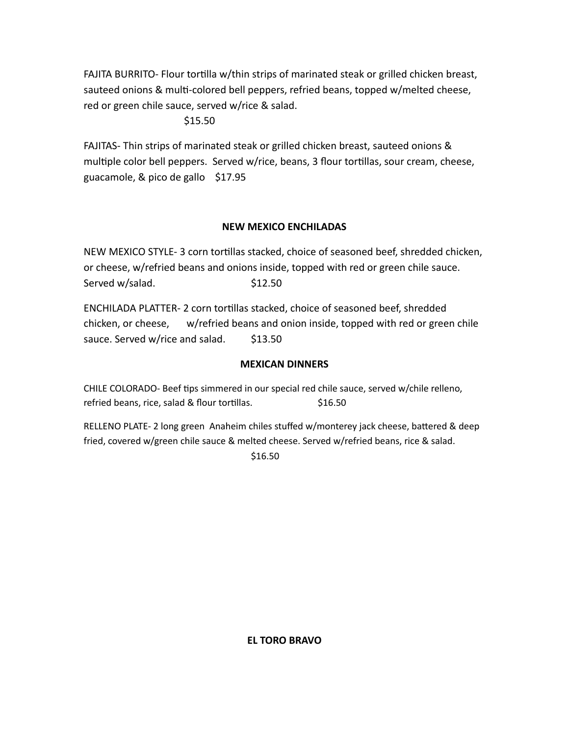FAJITA BURRITO- Flour tortilla w/thin strips of marinated steak or grilled chicken breast, sauteed onions & multi-colored bell peppers, refried beans, topped w/melted cheese, red or green chile sauce, served w/rice & salad.

\$15.50

FAJITAS- Thin strips of marinated steak or grilled chicken breast, sauteed onions & multiple color bell peppers. Served w/rice, beans, 3 flour tortillas, sour cream, cheese, guacamole, & pico de gallo \$17.95

# **NEW MEXICO ENCHILADAS**

NEW MEXICO STYLE- 3 corn tortillas stacked, choice of seasoned beef, shredded chicken, or cheese, w/refried beans and onions inside, topped with red or green chile sauce. Served w/salad. <br>\$12.50

ENCHILADA PLATTER- 2 corn tortillas stacked, choice of seasoned beef, shredded chicken, or cheese, w/refried beans and onion inside, topped with red or green chile sauce. Served w/rice and salad. \$13.50

## **MEXICAN DINNERS**

CHILE COLORADO- Beef tips simmered in our special red chile sauce, served w/chile relleno, refried beans, rice, salad & flour tortillas.  $$16.50$ 

RELLENO PLATE- 2 long green Anaheim chiles stuffed w/monterey jack cheese, battered & deep fried, covered w/green chile sauce & melted cheese. Served w/refried beans, rice & salad.

\$16.50

**EL TORO BRAVO**